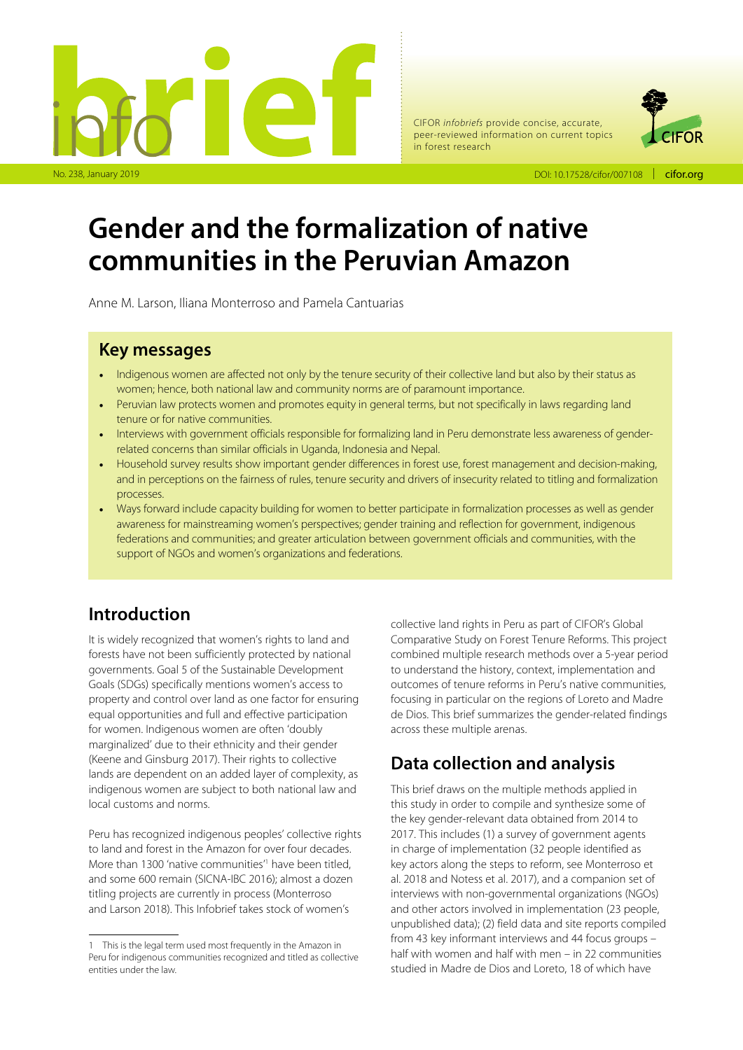

CIFOR *infobriefs* provide concise, accurate, peer-reviewed information on current topics in forest research



DOI: 10.17528/cifor/007108 | cifor.org

# **Gender and the formalization of native communities in the Peruvian Amazon**

Anne M. Larson, Iliana Monterroso and Pamela Cantuarias

#### **Key messages**

- Indigenous women are affected not only by the tenure security of their collective land but also by their status as women; hence, both national law and community norms are of paramount importance.
- Peruvian law protects women and promotes equity in general terms, but not specifically in laws regarding land tenure or for native communities.
- Interviews with government officials responsible for formalizing land in Peru demonstrate less awareness of genderrelated concerns than similar officials in Uganda, Indonesia and Nepal.
- Household survey results show important gender differences in forest use, forest management and decision-making, and in perceptions on the fairness of rules, tenure security and drivers of insecurity related to titling and formalization processes.
- Ways forward include capacity building for women to better participate in formalization processes as well as gender awareness for mainstreaming women's perspectives; gender training and reflection for government, indigenous federations and communities; and greater articulation between government officials and communities, with the support of NGOs and women's organizations and federations.

# **Introduction**

It is widely recognized that women's rights to land and forests have not been sufficiently protected by national governments. Goal 5 of the Sustainable Development Goals (SDGs) specifically mentions women's access to property and control over land as one factor for ensuring equal opportunities and full and effective participation for women. Indigenous women are often 'doubly marginalized' due to their ethnicity and their gender (Keene and Ginsburg 2017). Their rights to collective lands are dependent on an added layer of complexity, as indigenous women are subject to both national law and local customs and norms.

Peru has recognized indigenous peoples' collective rights to land and forest in the Amazon for over four decades. More than 1300 'native communities<sup>"</sup> have been titled, and some 600 remain (SICNA-IBC 2016); almost a dozen titling projects are currently in process (Monterroso and Larson 2018). This Infobrief takes stock of women's

collective land rights in Peru as part of CIFOR's Global Comparative Study on Forest Tenure Reforms. This project combined multiple research methods over a 5-year period to understand the history, context, implementation and outcomes of tenure reforms in Peru's native communities, focusing in particular on the regions of Loreto and Madre de Dios. This brief summarizes the gender-related findings across these multiple arenas.

# **Data collection and analysis**

This brief draws on the multiple methods applied in this study in order to compile and synthesize some of the key gender-relevant data obtained from 2014 to 2017. This includes (1) a survey of government agents in charge of implementation (32 people identified as key actors along the steps to reform, see Monterroso et al. 2018 and Notess et al. 2017), and a companion set of interviews with non-governmental organizations (NGOs) and other actors involved in implementation (23 people, unpublished data); (2) field data and site reports compiled from 43 key informant interviews and 44 focus groups – half with women and half with men – in 22 communities studied in Madre de Dios and Loreto, 18 of which have

<sup>1</sup> This is the legal term used most frequently in the Amazon in Peru for indigenous communities recognized and titled as collective entities under the law.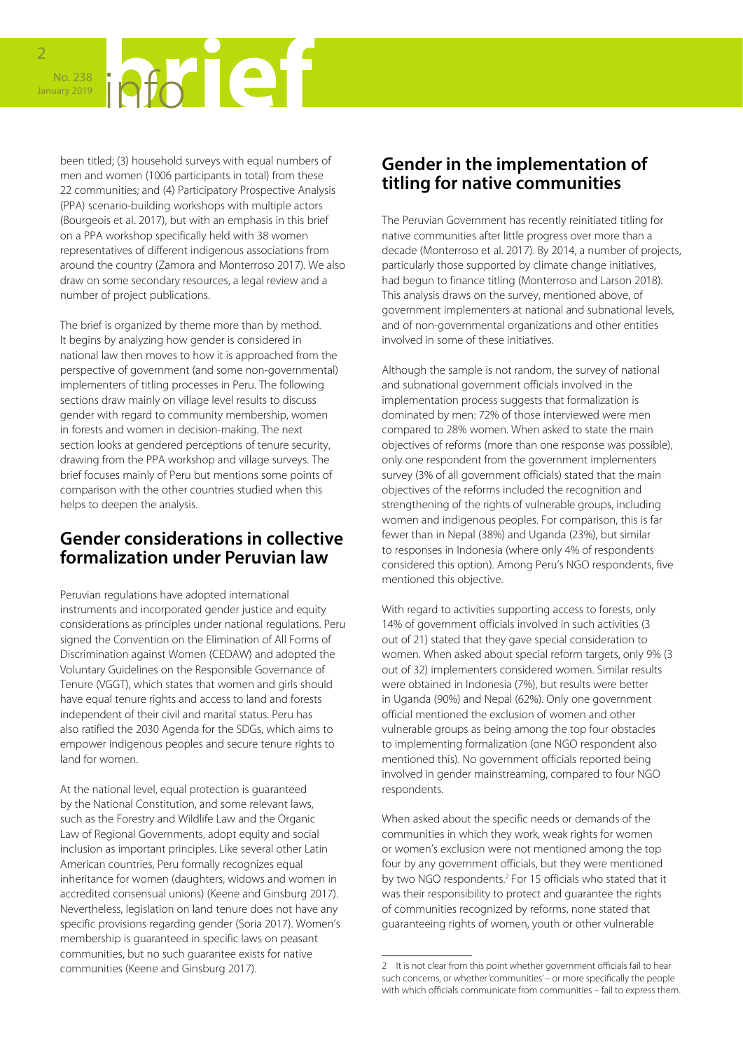

been titled; (3) household surveys with equal numbers of men and women (1006 participants in total) from these 22 communities; and (4) Participatory Prospective Analysis (PPA) scenario-building workshops with multiple actors (Bourgeois et al. 2017), but with an emphasis in this brief on a PPA workshop specifically held with 38 women representatives of different indigenous associations from around the country (Zamora and Monterroso 2017). We also draw on some secondary resources, a legal review and a number of project publications.

The brief is organized by theme more than by method. It begins by analyzing how gender is considered in national law then moves to how it is approached from the perspective of government (and some non-governmental) implementers of titling processes in Peru. The following sections draw mainly on village level results to discuss gender with regard to community membership, women in forests and women in decision-making. The next section looks at gendered perceptions of tenure security, drawing from the PPA workshop and village surveys. The brief focuses mainly of Peru but mentions some points of comparison with the other countries studied when this helps to deepen the analysis.

#### **Gender considerations in collective formalization under Peruvian law**

Peruvian regulations have adopted international instruments and incorporated gender justice and equity considerations as principles under national regulations. Peru signed the Convention on the Elimination of All Forms of Discrimination against Women (CEDAW) and adopted the Voluntary Guidelines on the Responsible Governance of Tenure (VGGT), which states that women and girls should have equal tenure rights and access to land and forests independent of their civil and marital status. Peru has also ratified the 2030 Agenda for the SDGs, which aims to empower indigenous peoples and secure tenure rights to land for women.

At the national level, equal protection is guaranteed by the National Constitution, and some relevant laws, such as the Forestry and Wildlife Law and the Organic Law of Regional Governments, adopt equity and social inclusion as important principles. Like several other Latin American countries, Peru formally recognizes equal inheritance for women (daughters, widows and women in accredited consensual unions) (Keene and Ginsburg 2017). Nevertheless, legislation on land tenure does not have any specific provisions regarding gender (Soria 2017). Women's membership is guaranteed in specific laws on peasant communities, but no such guarantee exists for native communities (Keene and Ginsburg 2017).

#### **Gender in the implementation of titling for native communities**

The Peruvian Government has recently reinitiated titling for native communities after little progress over more than a decade (Monterroso et al. 2017). By 2014, a number of projects, particularly those supported by climate change initiatives, had begun to finance titling (Monterroso and Larson 2018). This analysis draws on the survey, mentioned above, of government implementers at national and subnational levels, and of non-governmental organizations and other entities involved in some of these initiatives.

Although the sample is not random, the survey of national and subnational government officials involved in the implementation process suggests that formalization is dominated by men: 72% of those interviewed were men compared to 28% women. When asked to state the main objectives of reforms (more than one response was possible), only one respondent from the government implementers survey (3% of all government officials) stated that the main objectives of the reforms included the recognition and strengthening of the rights of vulnerable groups, including women and indigenous peoples. For comparison, this is far fewer than in Nepal (38%) and Uganda (23%), but similar to responses in Indonesia (where only 4% of respondents considered this option). Among Peru's NGO respondents, five mentioned this objective.

With regard to activities supporting access to forests, only 14% of government officials involved in such activities (3 out of 21) stated that they gave special consideration to women. When asked about special reform targets, only 9% (3 out of 32) implementers considered women. Similar results were obtained in Indonesia (7%), but results were better in Uganda (90%) and Nepal (62%). Only one government official mentioned the exclusion of women and other vulnerable groups as being among the top four obstacles to implementing formalization (one NGO respondent also mentioned this). No government officials reported being involved in gender mainstreaming, compared to four NGO respondents.

When asked about the specific needs or demands of the communities in which they work, weak rights for women or women's exclusion were not mentioned among the top four by any government officials, but they were mentioned by two NGO respondents.<sup>2</sup> For 15 officials who stated that it was their responsibility to protect and guarantee the rights of communities recognized by reforms, none stated that guaranteeing rights of women, youth or other vulnerable

<sup>2</sup> It is not clear from this point whether government officials fail to hear such concerns, or whether 'communities' – or more specifically the people with which officials communicate from communities – fail to express them.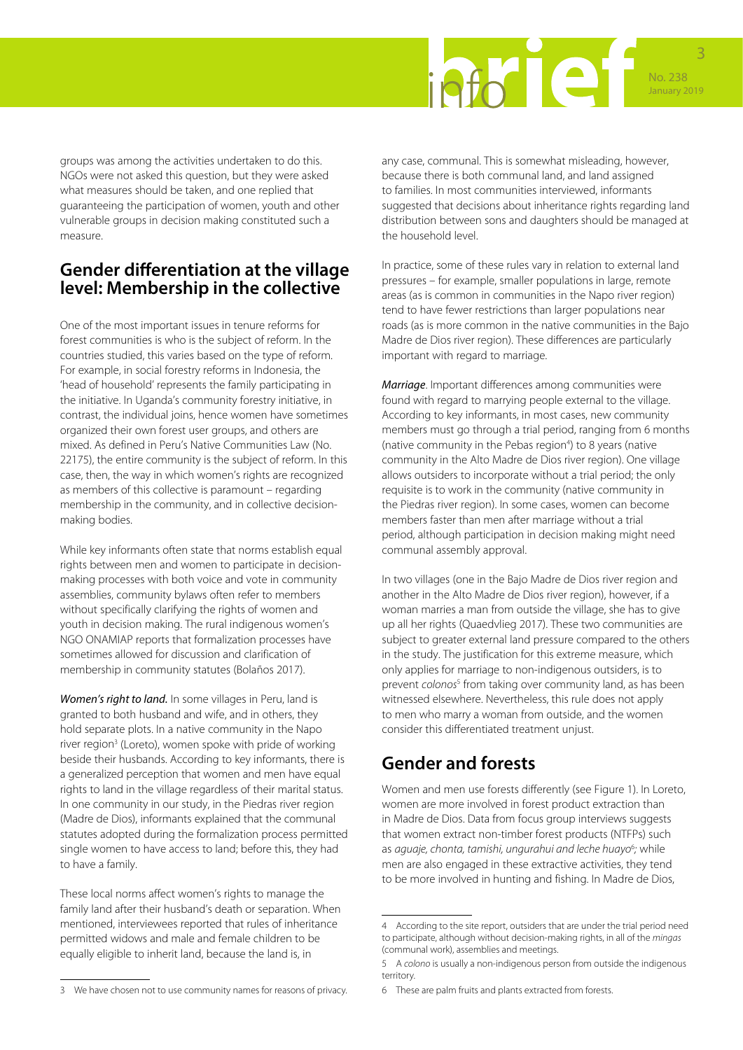

groups was among the activities undertaken to do this. NGOs were not asked this question, but they were asked what measures should be taken, and one replied that guaranteeing the participation of women, youth and other vulnerable groups in decision making constituted such a measure.

#### **Gender differentiation at the village level: Membership in the collective**

One of the most important issues in tenure reforms for forest communities is who is the subject of reform. In the countries studied, this varies based on the type of reform. For example, in social forestry reforms in Indonesia, the 'head of household' represents the family participating in the initiative. In Uganda's community forestry initiative, in contrast, the individual joins, hence women have sometimes organized their own forest user groups, and others are mixed. As defined in Peru's Native Communities Law (No. 22175), the entire community is the subject of reform. In this case, then, the way in which women's rights are recognized as members of this collective is paramount – regarding membership in the community, and in collective decisionmaking bodies.

While key informants often state that norms establish equal rights between men and women to participate in decisionmaking processes with both voice and vote in community assemblies, community bylaws often refer to members without specifically clarifying the rights of women and youth in decision making. The rural indigenous women's NGO ONAMIAP reports that formalization processes have sometimes allowed for discussion and clarification of membership in community statutes (Bolaños 2017).

*Women's right to land.* In some villages in Peru, land is granted to both husband and wife, and in others, they hold separate plots. In a native community in the Napo river region<sup>3</sup> (Loreto), women spoke with pride of working beside their husbands. According to key informants, there is a generalized perception that women and men have equal rights to land in the village regardless of their marital status. In one community in our study, in the Piedras river region (Madre de Dios), informants explained that the communal statutes adopted during the formalization process permitted single women to have access to land; before this, they had to have a family.

These local norms affect women's rights to manage the family land after their husband's death or separation. When mentioned, interviewees reported that rules of inheritance permitted widows and male and female children to be equally eligible to inherit land, because the land is, in

any case, communal. This is somewhat misleading, however, because there is both communal land, and land assigned to families. In most communities interviewed, informants suggested that decisions about inheritance rights regarding land distribution between sons and daughters should be managed at the household level.

In practice, some of these rules vary in relation to external land pressures – for example, smaller populations in large, remote areas (as is common in communities in the Napo river region) tend to have fewer restrictions than larger populations near roads (as is more common in the native communities in the Bajo Madre de Dios river region). These differences are particularly important with regard to marriage.

*Marriage*. Important differences among communities were found with regard to marrying people external to the village. According to key informants, in most cases, new community members must go through a trial period, ranging from 6 months (native community in the Pebas region<sup>4</sup>) to 8 years (native community in the Alto Madre de Dios river region). One village allows outsiders to incorporate without a trial period; the only requisite is to work in the community (native community in the Piedras river region). In some cases, women can become members faster than men after marriage without a trial period, although participation in decision making might need communal assembly approval.

In two villages (one in the Bajo Madre de Dios river region and another in the Alto Madre de Dios river region), however, if a woman marries a man from outside the village, she has to give up all her rights (Quaedvlieg 2017). These two communities are subject to greater external land pressure compared to the others in the study. The justification for this extreme measure, which only applies for marriage to non-indigenous outsiders, is to prevent *colonos*<sup>5</sup> from taking over community land, as has been witnessed elsewhere. Nevertheless, this rule does not apply to men who marry a woman from outside, and the women consider this differentiated treatment unjust.

# **Gender and forests**

Women and men use forests differently (see Figure 1). In Loreto, women are more involved in forest product extraction than in Madre de Dios. Data from focus group interviews suggests that women extract non-timber forest products (NTFPs) such as *aguaje, chonta, tamishi, ungurahui and leche huayo<sup>6</sup>; while* men are also engaged in these extractive activities, they tend to be more involved in hunting and fishing. In Madre de Dios,

<sup>4</sup> According to the site report, outsiders that are under the trial period need to participate, although without decision-making rights, in all of the *mingas* (communal work), assemblies and meetings.

<sup>5</sup> A *colono* is usually a non-indigenous person from outside the indigenous territory.

<sup>6</sup> These are palm fruits and plants extracted from forests.

<sup>3</sup> We have chosen not to use community names for reasons of privacy.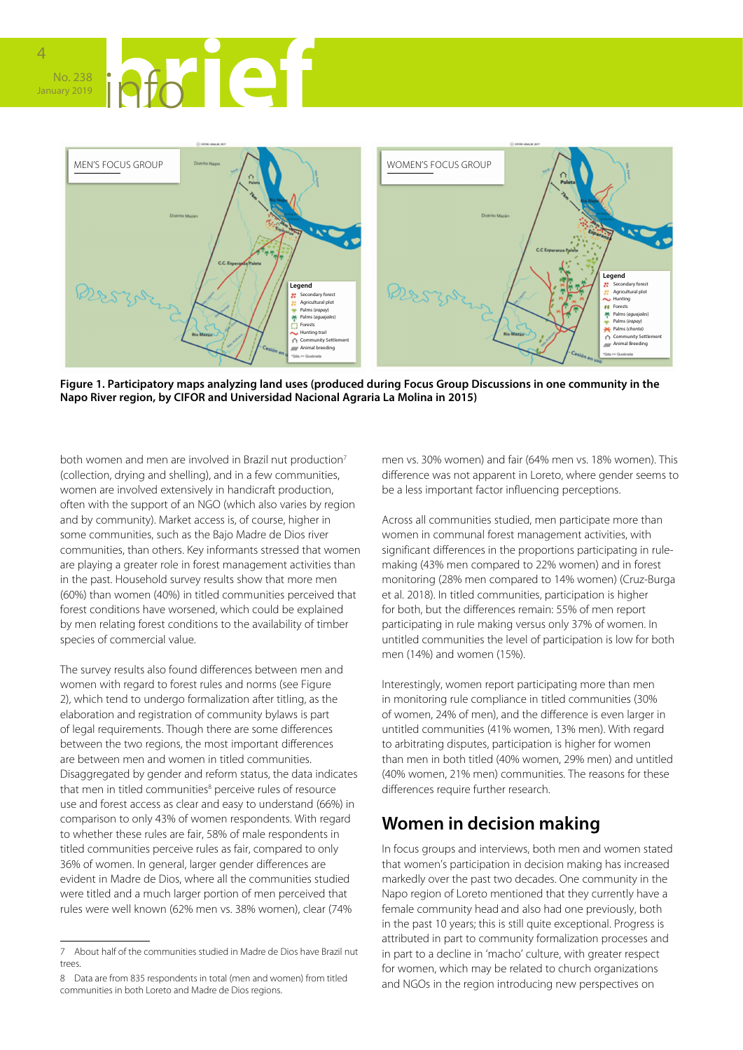



**Figure 1. Participatory maps analyzing land uses (produced during Focus Group Discussions in one community in the Napo River region, by CIFOR and Universidad Nacional Agraria La Molina in 2015)**

both women and men are involved in Brazil nut production<sup>7</sup> (collection, drying and shelling), and in a few communities, women are involved extensively in handicraft production, often with the support of an NGO (which also varies by region and by community). Market access is, of course, higher in some communities, such as the Bajo Madre de Dios river communities, than others. Key informants stressed that women are playing a greater role in forest management activities than in the past. Household survey results show that more men (60%) than women (40%) in titled communities perceived that forest conditions have worsened, which could be explained by men relating forest conditions to the availability of timber species of commercial value.

The survey results also found differences between men and women with regard to forest rules and norms (see Figure 2), which tend to undergo formalization after titling, as the elaboration and registration of community bylaws is part of legal requirements. Though there are some differences between the two regions, the most important differences are between men and women in titled communities. Disaggregated by gender and reform status, the data indicates that men in titled communities<sup>8</sup> perceive rules of resource use and forest access as clear and easy to understand (66%) in comparison to only 43% of women respondents. With regard to whether these rules are fair, 58% of male respondents in titled communities perceive rules as fair, compared to only 36% of women. In general, larger gender differences are evident in Madre de Dios, where all the communities studied were titled and a much larger portion of men perceived that rules were well known (62% men vs. 38% women), clear (74%

men vs. 30% women) and fair (64% men vs. 18% women). This difference was not apparent in Loreto, where gender seems to be a less important factor influencing perceptions.

Across all communities studied, men participate more than women in communal forest management activities, with significant differences in the proportions participating in rulemaking (43% men compared to 22% women) and in forest monitoring (28% men compared to 14% women) (Cruz-Burga et al. 2018). In titled communities, participation is higher for both, but the differences remain: 55% of men report participating in rule making versus only 37% of women. In untitled communities the level of participation is low for both men (14%) and women (15%).

Interestingly, women report participating more than men in monitoring rule compliance in titled communities (30% of women, 24% of men), and the difference is even larger in untitled communities (41% women, 13% men). With regard to arbitrating disputes, participation is higher for women than men in both titled (40% women, 29% men) and untitled (40% women, 21% men) communities. The reasons for these differences require further research.

# **Women in decision making**

In focus groups and interviews, both men and women stated that women's participation in decision making has increased markedly over the past two decades. One community in the Napo region of Loreto mentioned that they currently have a female community head and also had one previously, both in the past 10 years; this is still quite exceptional. Progress is attributed in part to community formalization processes and in part to a decline in 'macho' culture, with greater respect for women, which may be related to church organizations and NGOs in the region introducing new perspectives on

<sup>7</sup> About half of the communities studied in Madre de Dios have Brazil nut trees.

<sup>8</sup> Data are from 835 respondents in total (men and women) from titled communities in both Loreto and Madre de Dios regions.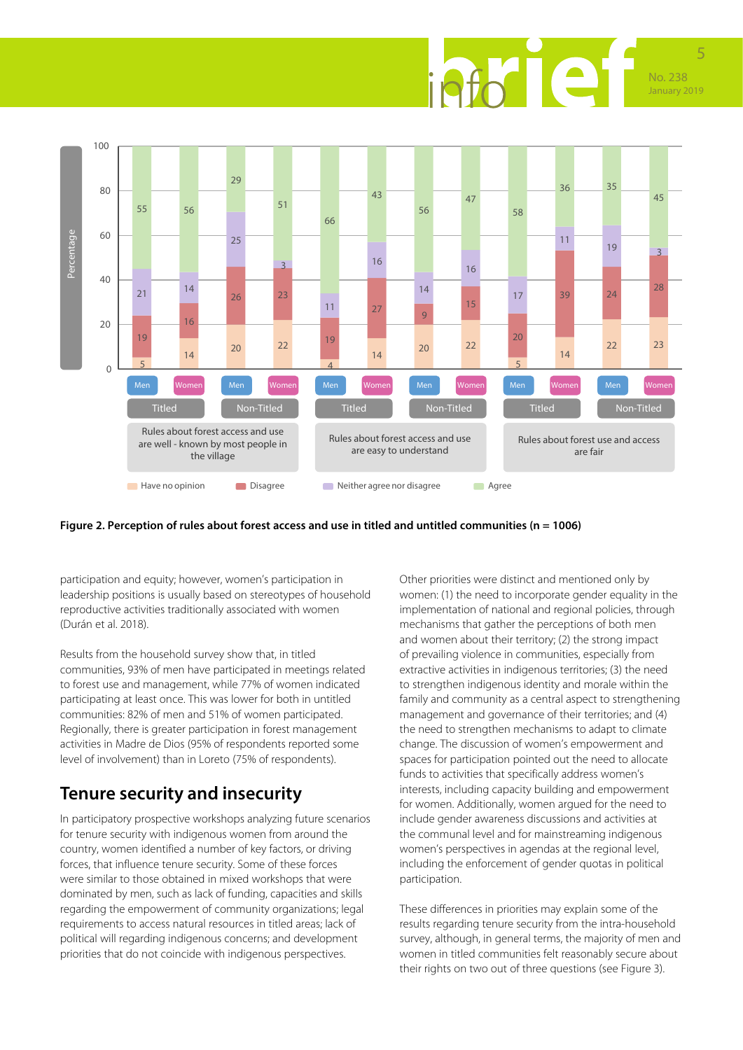



#### **Figure 2. Perception of rules about forest access and use in titled and untitled communities (n = 1006)**

participation and equity; however, women's participation in leadership positions is usually based on stereotypes of household reproductive activities traditionally associated with women (Durán et al. 2018).

Results from the household survey show that, in titled communities, 93% of men have participated in meetings related to forest use and management, while 77% of women indicated participating at least once. This was lower for both in untitled communities: 82% of men and 51% of women participated. Regionally, there is greater participation in forest management activities in Madre de Dios (95% of respondents reported some level of involvement) than in Loreto (75% of respondents).

### **Tenure security and insecurity**

In participatory prospective workshops analyzing future scenarios for tenure security with indigenous women from around the country, women identified a number of key factors, or driving forces, that influence tenure security. Some of these forces were similar to those obtained in mixed workshops that were dominated by men, such as lack of funding, capacities and skills regarding the empowerment of community organizations; legal requirements to access natural resources in titled areas; lack of political will regarding indigenous concerns; and development priorities that do not coincide with indigenous perspectives.

Other priorities were distinct and mentioned only by women: (1) the need to incorporate gender equality in the implementation of national and regional policies, through mechanisms that gather the perceptions of both men and women about their territory; (2) the strong impact of prevailing violence in communities, especially from extractive activities in indigenous territories; (3) the need to strengthen indigenous identity and morale within the family and community as a central aspect to strengthening management and governance of their territories; and (4) the need to strengthen mechanisms to adapt to climate change. The discussion of women's empowerment and spaces for participation pointed out the need to allocate funds to activities that specifically address women's interests, including capacity building and empowerment for women. Additionally, women argued for the need to include gender awareness discussions and activities at the communal level and for mainstreaming indigenous women's perspectives in agendas at the regional level, including the enforcement of gender quotas in political participation.

These differences in priorities may explain some of the results regarding tenure security from the intra-household survey, although, in general terms, the majority of men and women in titled communities felt reasonably secure about their rights on two out of three questions (see Figure 3).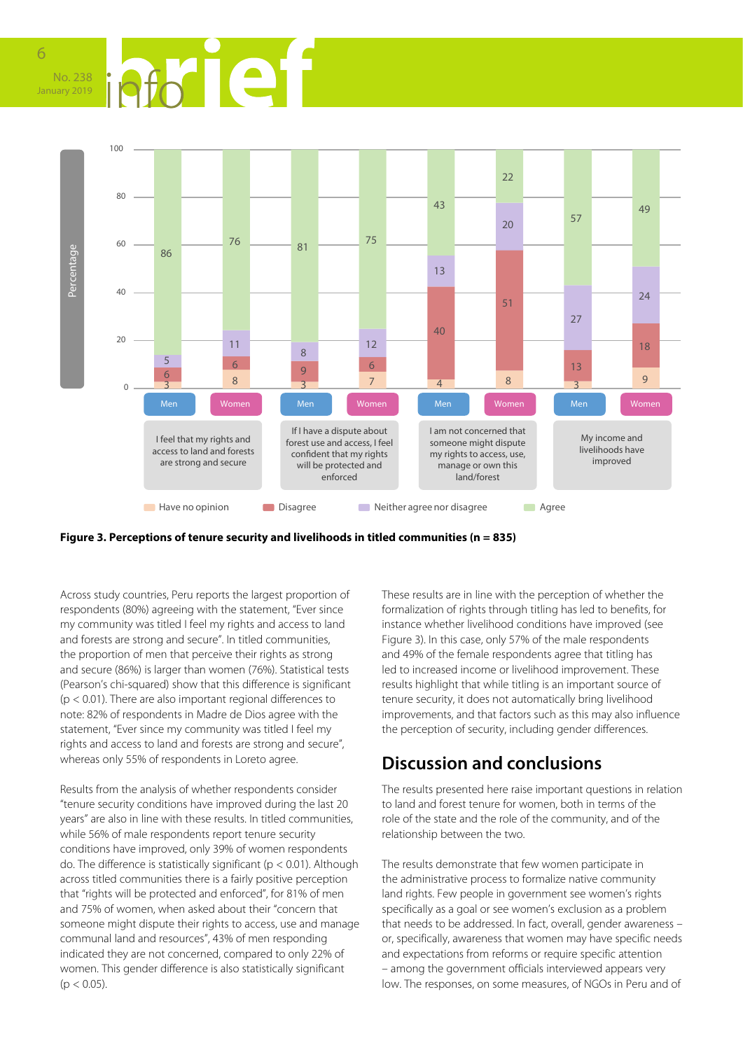





Across study countries, Peru reports the largest proportion of respondents (80%) agreeing with the statement, "Ever since my community was titled I feel my rights and access to land and forests are strong and secure". In titled communities, the proportion of men that perceive their rights as strong and secure (86%) is larger than women (76%). Statistical tests (Pearson's chi-squared) show that this difference is significant  $(p < 0.01)$ . There are also important regional differences to note: 82% of respondents in Madre de Dios agree with the statement, "Ever since my community was titled I feel my rights and access to land and forests are strong and secure", whereas only 55% of respondents in Loreto agree.

Results from the analysis of whether respondents consider "tenure security conditions have improved during the last 20 years" are also in line with these results. In titled communities, while 56% of male respondents report tenure security conditions have improved, only 39% of women respondents do. The difference is statistically significant ( $p < 0.01$ ). Although across titled communities there is a fairly positive perception that "rights will be protected and enforced", for 81% of men and 75% of women, when asked about their "concern that someone might dispute their rights to access, use and manage communal land and resources", 43% of men responding indicated they are not concerned, compared to only 22% of women. This gender difference is also statistically significant  $(p < 0.05)$ .

These results are in line with the perception of whether the formalization of rights through titling has led to benefits, for instance whether livelihood conditions have improved (see Figure 3). In this case, only 57% of the male respondents and 49% of the female respondents agree that titling has led to increased income or livelihood improvement. These results highlight that while titling is an important source of tenure security, it does not automatically bring livelihood improvements, and that factors such as this may also influence the perception of security, including gender differences.

# **Discussion and conclusions**

The results presented here raise important questions in relation to land and forest tenure for women, both in terms of the role of the state and the role of the community, and of the relationship between the two.

The results demonstrate that few women participate in the administrative process to formalize native community land rights. Few people in government see women's rights specifically as a goal or see women's exclusion as a problem that needs to be addressed. In fact, overall, gender awareness – or, specifically, awareness that women may have specific needs and expectations from reforms or require specific attention – among the government officials interviewed appears very low. The responses, on some measures, of NGOs in Peru and of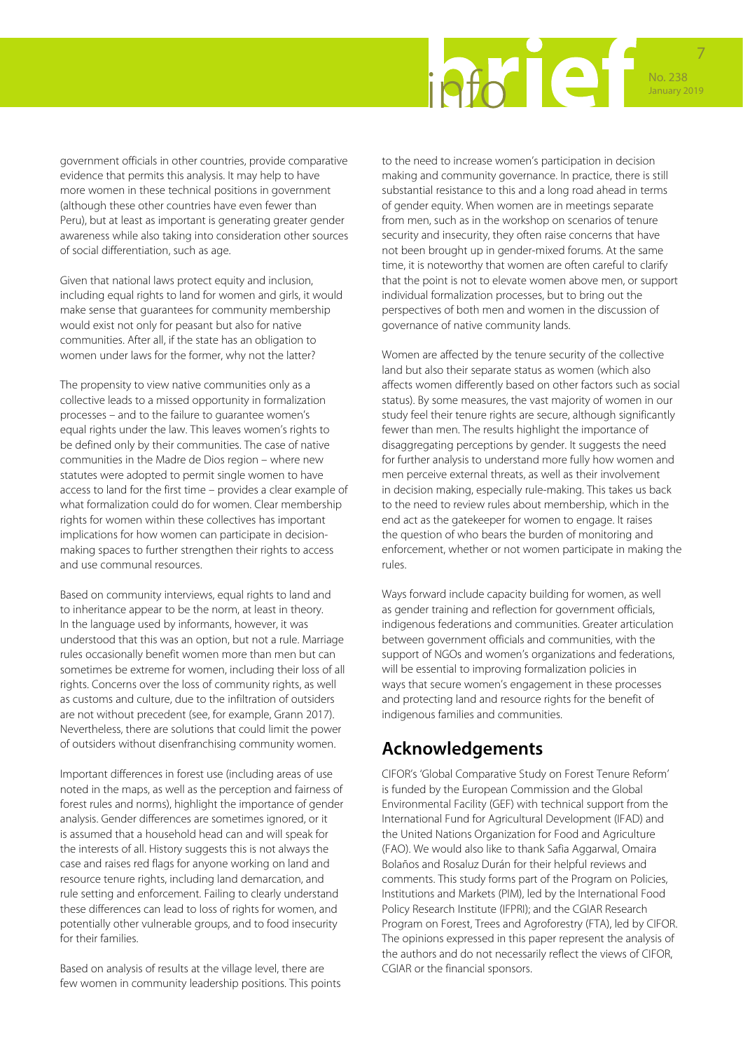

government officials in other countries, provide comparative evidence that permits this analysis. It may help to have more women in these technical positions in government (although these other countries have even fewer than Peru), but at least as important is generating greater gender awareness while also taking into consideration other sources of social differentiation, such as age.

Given that national laws protect equity and inclusion, including equal rights to land for women and girls, it would make sense that guarantees for community membership would exist not only for peasant but also for native communities. After all, if the state has an obligation to women under laws for the former, why not the latter?

The propensity to view native communities only as a collective leads to a missed opportunity in formalization processes – and to the failure to guarantee women's equal rights under the law. This leaves women's rights to be defined only by their communities. The case of native communities in the Madre de Dios region – where new statutes were adopted to permit single women to have access to land for the first time – provides a clear example of what formalization could do for women. Clear membership rights for women within these collectives has important implications for how women can participate in decisionmaking spaces to further strengthen their rights to access and use communal resources.

Based on community interviews, equal rights to land and to inheritance appear to be the norm, at least in theory. In the language used by informants, however, it was understood that this was an option, but not a rule. Marriage rules occasionally benefit women more than men but can sometimes be extreme for women, including their loss of all rights. Concerns over the loss of community rights, as well as customs and culture, due to the infiltration of outsiders are not without precedent (see, for example, Grann 2017). Nevertheless, there are solutions that could limit the power of outsiders without disenfranchising community women.

Important differences in forest use (including areas of use noted in the maps, as well as the perception and fairness of forest rules and norms), highlight the importance of gender analysis. Gender differences are sometimes ignored, or it is assumed that a household head can and will speak for the interests of all. History suggests this is not always the case and raises red flags for anyone working on land and resource tenure rights, including land demarcation, and rule setting and enforcement. Failing to clearly understand these differences can lead to loss of rights for women, and potentially other vulnerable groups, and to food insecurity for their families.

Based on analysis of results at the village level, there are few women in community leadership positions. This points to the need to increase women's participation in decision making and community governance. In practice, there is still substantial resistance to this and a long road ahead in terms of gender equity. When women are in meetings separate from men, such as in the workshop on scenarios of tenure security and insecurity, they often raise concerns that have not been brought up in gender-mixed forums. At the same time, it is noteworthy that women are often careful to clarify that the point is not to elevate women above men, or support individual formalization processes, but to bring out the perspectives of both men and women in the discussion of governance of native community lands.

Women are affected by the tenure security of the collective land but also their separate status as women (which also affects women differently based on other factors such as social status). By some measures, the vast majority of women in our study feel their tenure rights are secure, although significantly fewer than men. The results highlight the importance of disaggregating perceptions by gender. It suggests the need for further analysis to understand more fully how women and men perceive external threats, as well as their involvement in decision making, especially rule-making. This takes us back to the need to review rules about membership, which in the end act as the gatekeeper for women to engage. It raises the question of who bears the burden of monitoring and enforcement, whether or not women participate in making the rules.

Ways forward include capacity building for women, as well as gender training and reflection for government officials, indigenous federations and communities. Greater articulation between government officials and communities, with the support of NGOs and women's organizations and federations, will be essential to improving formalization policies in ways that secure women's engagement in these processes and protecting land and resource rights for the benefit of indigenous families and communities.

# **Acknowledgements**

CIFOR's 'Global Comparative Study on Forest Tenure Reform' is funded by the European Commission and the Global Environmental Facility (GEF) with technical support from the International Fund for Agricultural Development (IFAD) and the United Nations Organization for Food and Agriculture (FAO). We would also like to thank Safia Aggarwal, Omaira Bolaños and Rosaluz Durán for their helpful reviews and comments. This study forms part of the Program on Policies, Institutions and Markets (PIM), led by the International Food Policy Research Institute (IFPRI); and the CGIAR Research Program on Forest, Trees and Agroforestry (FTA), led by CIFOR. The opinions expressed in this paper represent the analysis of the authors and do not necessarily reflect the views of CIFOR, CGIAR or the financial sponsors.